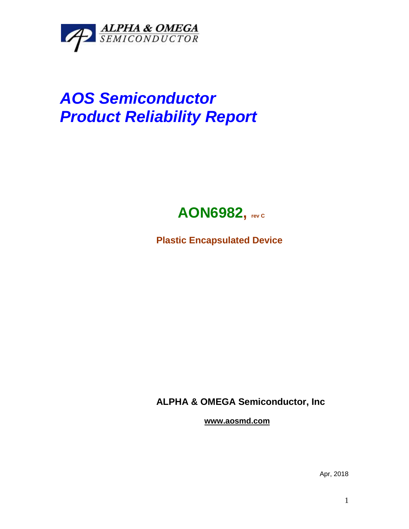

## *AOS Semiconductor Product Reliability Report*



**Plastic Encapsulated Device**

**ALPHA & OMEGA Semiconductor, Inc**

**www.aosmd.com**

Apr, 2018